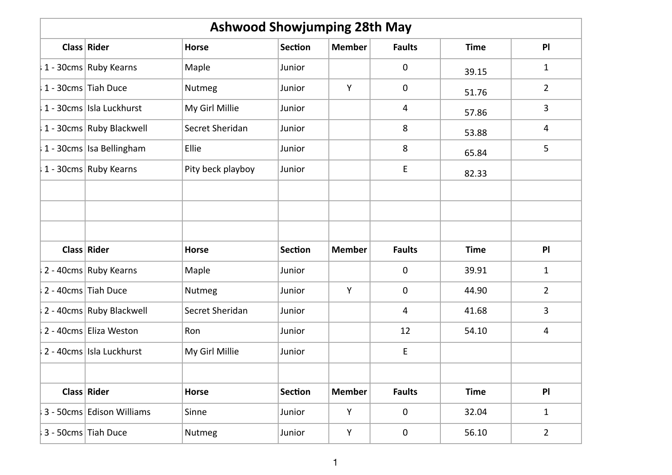| <b>Ashwood Showjumping 28th May</b> |                           |                   |                |               |                         |             |                |  |
|-------------------------------------|---------------------------|-------------------|----------------|---------------|-------------------------|-------------|----------------|--|
|                                     | Class Rider               | <b>Horse</b>      | <b>Section</b> | <b>Member</b> | <b>Faults</b>           | <b>Time</b> | PI             |  |
|                                     | 1 - 30cms Ruby Kearns     | Maple             | Junior         |               | $\pmb{0}$               | 39.15       | $\mathbf{1}$   |  |
|                                     | 1 - 30cms Tiah Duce       | Nutmeg            | Junior         | Y             | $\mathbf 0$             | 51.76       | $\overline{2}$ |  |
|                                     | 1 - 30cms Isla Luckhurst  | My Girl Millie    | Junior         |               | 4                       | 57.86       | 3              |  |
|                                     | 1 - 30cms Ruby Blackwell  | Secret Sheridan   | Junior         |               | 8                       | 53.88       | 4              |  |
|                                     | 1 - 30cms Isa Bellingham  | Ellie             | Junior         |               | 8                       | 65.84       | 5              |  |
|                                     | 1 - 30cms Ruby Kearns     | Pity beck playboy | Junior         |               | E                       | 82.33       |                |  |
|                                     |                           |                   |                |               |                         |             |                |  |
|                                     | Class Rider               | Horse             | <b>Section</b> | <b>Member</b> | <b>Faults</b>           | <b>Time</b> | PI             |  |
|                                     | 2 - 40cms Ruby Kearns     | Maple             | Junior         |               | $\pmb{0}$               | 39.91       | $\mathbf{1}$   |  |
|                                     | 2 - 40cms Tiah Duce       | Nutmeg            | Junior         | Y             | $\mathbf 0$             | 44.90       | $\overline{2}$ |  |
|                                     | 2 - 40cms Ruby Blackwell  | Secret Sheridan   | Junior         |               | $\overline{\mathbf{4}}$ | 41.68       | 3              |  |
|                                     | 2 - 40cms Eliza Weston    | Ron               | Junior         |               | 12                      | 54.10       | 4              |  |
|                                     | 2 - 40cms Isla Luckhurst  | My Girl Millie    | Junior         |               | $\mathsf E$             |             |                |  |
|                                     | Class Rider               | <b>Horse</b>      | <b>Section</b> | <b>Member</b> | <b>Faults</b>           | <b>Time</b> | PI             |  |
|                                     | 3 - 50cms Edison Williams | Sinne             | Junior         | Y             | $\pmb{0}$               | 32.04       | $\mathbf{1}$   |  |
|                                     | 3 - 50cms Tiah Duce       | Nutmeg            | Junior         | Y             | $\mathbf 0$             | 56.10       | $\overline{2}$ |  |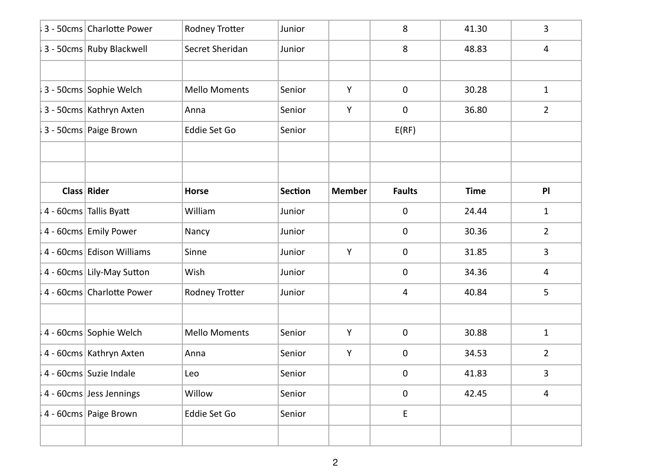| 3 - 50cms Charlotte Power | Rodney Trotter        | Junior         |               | 8              | 41.30       | 3              |
|---------------------------|-----------------------|----------------|---------------|----------------|-------------|----------------|
| 3 - 50cms Ruby Blackwell  | Secret Sheridan       | Junior         |               | 8              | 48.83       | 4              |
|                           |                       |                |               |                |             |                |
| 3 - 50cms Sophie Welch    | <b>Mello Moments</b>  | Senior         | Y             | $\mathbf 0$    | 30.28       | $\mathbf{1}$   |
| 3 - 50cms Kathryn Axten   | Anna                  | Senior         | Y             | 0              | 36.80       | $\overline{2}$ |
| 3 - 50cms Paige Brown     | Eddie Set Go          | Senior         |               | E(RF)          |             |                |
|                           |                       |                |               |                |             |                |
| Class Rider               | <b>Horse</b>          | <b>Section</b> | <b>Member</b> | <b>Faults</b>  | <b>Time</b> | PI             |
| 4 - 60cms Tallis Byatt    | William               | Junior         |               | 0              | 24.44       | $\mathbf{1}$   |
| 4 - 60cms Emily Power     | Nancy                 | Junior         |               | $\mathbf 0$    | 30.36       | $\overline{2}$ |
| 4 - 60cms Edison Williams | Sinne                 | Junior         | Y             | $\mathbf 0$    | 31.85       | 3              |
| 4 - 60cms Lily-May Sutton | Wish                  | Junior         |               | 0              | 34.36       | 4              |
| 4 - 60cms Charlotte Power | <b>Rodney Trotter</b> | Junior         |               | $\overline{4}$ | 40.84       | 5              |
| 4 - 60cms Sophie Welch    | <b>Mello Moments</b>  | Senior         | Y             | $\mathbf 0$    | 30.88       | $\mathbf{1}$   |
|                           |                       |                |               |                |             |                |
| 4 - 60cms Kathryn Axten   | Anna                  | Senior         | Y             | 0              | 34.53       | $\overline{2}$ |
| 4 - 60cms Suzie Indale    | Leo                   | Senior         |               | $\mathbf 0$    | 41.83       | 3              |
| 4 - 60cms Jess Jennings   | Willow                | Senior         |               | $\mathbf 0$    | 42.45       | $\overline{4}$ |
| 4 - 60cms Paige Brown     | Eddie Set Go          | Senior         |               | E              |             |                |
|                           |                       |                |               |                |             |                |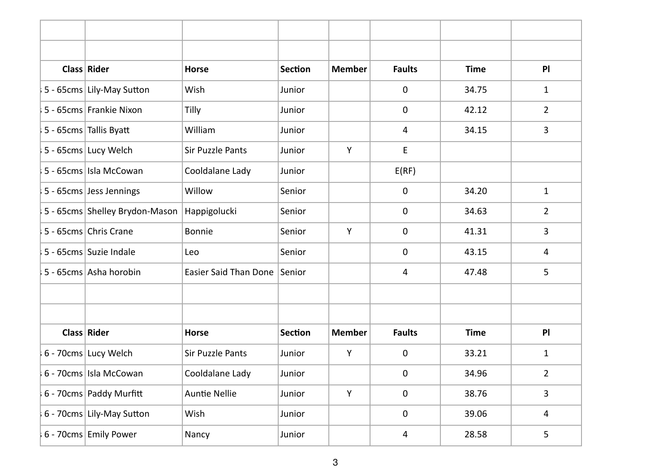| Class Rider                    | <b>Horse</b>            | <b>Section</b> | <b>Member</b> | <b>Faults</b> | <b>Time</b> | PI             |
|--------------------------------|-------------------------|----------------|---------------|---------------|-------------|----------------|
| 5 - 65cms Lily-May Sutton      | Wish                    | Junior         |               | 0             | 34.75       | $\mathbf{1}$   |
| 5 - 65cms Frankie Nixon        | Tilly                   | Junior         |               | 0             | 42.12       | $\overline{2}$ |
| 5 - 65cms Tallis Byatt         | William                 | Junior         |               | 4             | 34.15       | 3              |
| 5 - 65cms Lucy Welch           | <b>Sir Puzzle Pants</b> | Junior         | Y             | E             |             |                |
| 5 - 65cms Isla McCowan         | Cooldalane Lady         | Junior         |               | E(RF)         |             |                |
| 5 - 65cms Jess Jennings        | Willow                  | Senior         |               | 0             | 34.20       | $\mathbf{1}$   |
| 5 - 65cms Shelley Brydon-Mason | Happigolucki            | Senior         |               | 0             | 34.63       | $\overline{2}$ |
| 5 - 65cms Chris Crane          | <b>Bonnie</b>           | Senior         | Y             | 0             | 41.31       | 3              |
| 5 - 65cms Suzie Indale         | Leo                     | Senior         |               | 0             | 43.15       | 4              |
| 5 - 65cms Asha horobin         | Easier Said Than Done   | Senior         |               | 4             | 47.48       | 5              |
|                                |                         |                |               |               |             |                |
| Class Rider                    | <b>Horse</b>            | <b>Section</b> | <b>Member</b> | <b>Faults</b> | <b>Time</b> | PI             |
| 6 - 70cms Lucy Welch           | Sir Puzzle Pants        | Junior         | Y             | 0             | 33.21       | $\mathbf{1}$   |
| 6 - 70cms Isla McCowan         | Cooldalane Lady         | Junior         |               | 0             | 34.96       | $\overline{2}$ |
| 6 - 70cms Paddy Murfitt        | <b>Auntie Nellie</b>    | Junior         | Y             | $\mathbf 0$   | 38.76       | 3              |
| 6 - 70cms Lily-May Sutton      | Wish                    | Junior         |               | 0             | 39.06       | 4              |
| 6 - 70cms Emily Power          | Nancy                   | Junior         |               | 4             | 28.58       | 5              |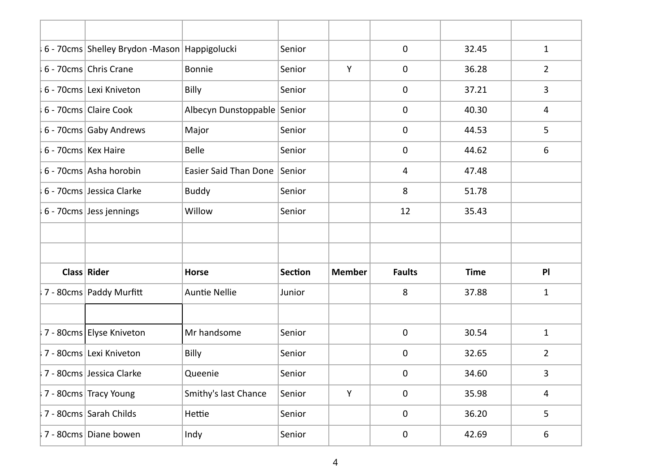|                     | 6 - 70cms Shelley Brydon - Mason Happigolucki |                              | Senior         |               | $\mathbf 0$    | 32.45       | $\mathbf{1}$   |
|---------------------|-----------------------------------------------|------------------------------|----------------|---------------|----------------|-------------|----------------|
|                     | 6 - 70cms Chris Crane                         | <b>Bonnie</b>                | Senior         | Y             | $\mathbf 0$    | 36.28       | $\overline{2}$ |
|                     | 6 - 70cms Lexi Kniveton                       | Billy                        | Senior         |               | $\mathbf 0$    | 37.21       | 3              |
|                     | 6 - 70cms Claire Cook                         | Albecyn Dunstoppable Senior  |                |               | $\pmb{0}$      | 40.30       | 4              |
|                     | 6 - 70cms Gaby Andrews                        | Major                        | Senior         |               | $\mathbf 0$    | 44.53       | 5              |
| 6 - 70cms Kex Haire |                                               | <b>Belle</b>                 | Senior         |               | $\mathbf 0$    | 44.62       | 6              |
|                     | 6 - 70cms Asha horobin                        | Easier Said Than Done Senior |                |               | $\overline{4}$ | 47.48       |                |
|                     | 6 - 70cms Jessica Clarke                      | <b>Buddy</b>                 | Senior         |               | 8              | 51.78       |                |
|                     | 6 - 70cms Jess jennings                       | Willow                       | Senior         |               | 12             | 35.43       |                |
|                     |                                               |                              |                |               |                |             |                |
|                     |                                               |                              |                |               |                |             |                |
|                     | Class Rider                                   | <b>Horse</b>                 | <b>Section</b> | <b>Member</b> | <b>Faults</b>  | <b>Time</b> | PI             |
|                     | 7 - 80cms Paddy Murfitt                       | <b>Auntie Nellie</b>         | Junior         |               | 8              | 37.88       | 1              |
|                     |                                               |                              |                |               |                |             |                |
|                     | 7 - 80cms Elyse Kniveton                      | Mr handsome                  | Senior         |               | 0              | 30.54       | $\mathbf{1}$   |
|                     | 7 - 80cms Lexi Kniveton                       | Billy                        | Senior         |               | $\mathbf 0$    | 32.65       | $\overline{2}$ |
|                     | 7 - 80cms Jessica Clarke                      | Queenie                      | Senior         |               | $\mathbf 0$    | 34.60       | 3              |
|                     | 7 - 80cms Tracy Young                         | Smithy's last Chance         | Senior         | Y             | $\pmb{0}$      | 35.98       | 4              |
|                     | 7 - 80cms Sarah Childs                        | Hettie                       | Senior         |               | 0              | 36.20       | 5              |
|                     | 7 - 80cms Diane bowen                         | Indy                         | Senior         |               | 0              | 42.69       | 6              |